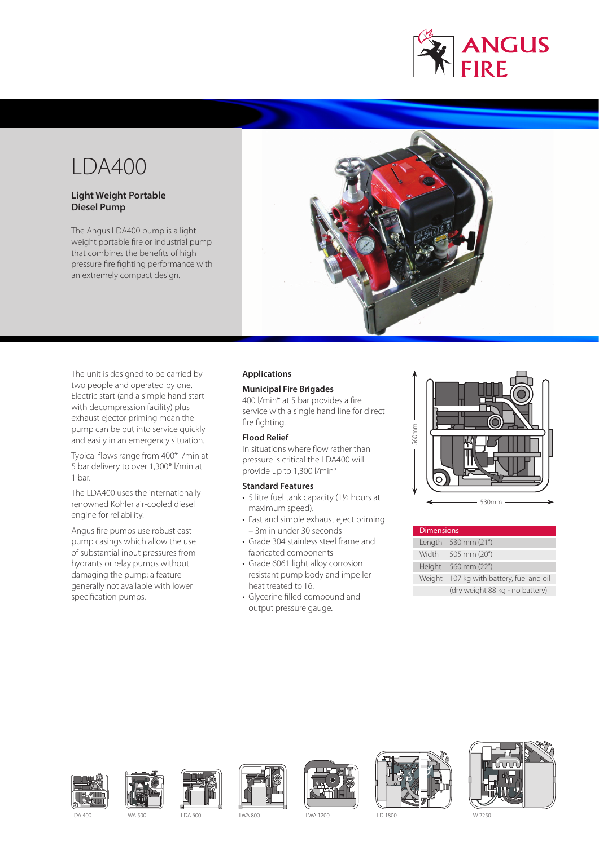

# LDA400

## **Light Weight Portable Diesel Pump**

The Angus LDA400 pump is a light weight portable fire or industrial pump that combines the benefits of high pressure fire fighting performance with an extremely compact design.



The unit is designed to be carried by two people and operated by one. Electric start (and a simple hand start with decompression facility) plus exhaust ejector priming mean the pump can be put into service quickly and easily in an emergency situation.

Typical flows range from 400\* l/min at 5 bar delivery to over 1,300\* l/min at 1 bar.

The LDA400 uses the internationally renowned Kohler air-cooled diesel engine for reliability.

Angus fire pumps use robust cast pump casings which allow the use of substantial input pressures from hydrants or relay pumps without damaging the pump; a feature generally not available with lower specification pumps.

## **Applications**

## **Municipal Fire Brigades**

400 l/min\* at 5 bar provides a fire service with a single hand line for direct fire fighting.

## **Flood Relief**

In situations where flow rather than pressure is critical the LDA400 will provide up to 1,300 l/min\*

### **Standard Features**

- 5 litre fuel tank capacity (1½ hours at maximum speed).
- Fast and simple exhaust eject priming – 3m in under 30 seconds
- Grade 304 stainless steel frame and fabricated components
- Grade 6061 light alloy corrosion resistant pump body and impeller heat treated to T6.
- Glycerine filled compound and output pressure gauge.



| <b>Dimensions</b> |                                   |
|-------------------|-----------------------------------|
|                   | Length 530 mm (21")               |
| Width             | 505 mm (20")                      |
| Height            | 560 mm (22")                      |
| Weight            | 107 kg with battery, fuel and oil |
|                   | (dry weight 88 kg - no battery)   |















LDA 400 LWA 500 LDA 600 LWA 800 LWA 1200 LD 1800 LW 2250